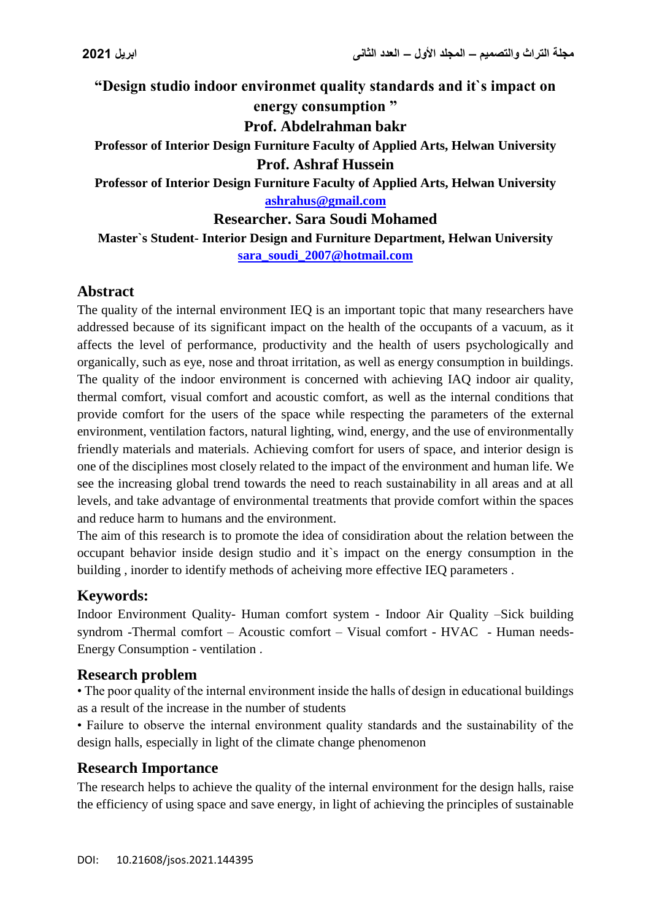**"Design studio indoor environmet quality standards and it`s impact on energy consumption " Prof. Abdelrahman bakr Professor of Interior Design Furniture Faculty of Applied Arts, Helwan University Prof. Ashraf Hussein Professor of Interior Design Furniture Faculty of Applied Arts, Helwan University [ashrahus@gmail.com](mailto:ashrahus@gmail.com)**

**Researcher. Sara Soudi Mohamed**

**Master`s Student- Interior Design and Furniture Department, Helwan University [sara\\_soudi\\_2007@hotmail.com](mailto:sara_soudi_2007@hotmail.com)**

### **Abstract**

The quality of the internal environment IEQ is an important topic that many researchers have addressed because of its significant impact on the health of the occupants of a vacuum, as it affects the level of performance, productivity and the health of users psychologically and organically, such as eye, nose and throat irritation, as well as energy consumption in buildings. The quality of the indoor environment is concerned with achieving IAQ indoor air quality, thermal comfort, visual comfort and acoustic comfort, as well as the internal conditions that provide comfort for the users of the space while respecting the parameters of the external environment, ventilation factors, natural lighting, wind, energy, and the use of environmentally friendly materials and materials. Achieving comfort for users of space, and interior design is one of the disciplines most closely related to the impact of the environment and human life. We see the increasing global trend towards the need to reach sustainability in all areas and at all levels, and take advantage of environmental treatments that provide comfort within the spaces and reduce harm to humans and the environment.

The aim of this research is to promote the idea of considiration about the relation between the occupant behavior inside design studio and it`s impact on the energy consumption in the building , inorder to identify methods of acheiving more effective IEQ parameters .

#### **Keywords:**

Indoor Environment Quality- Human comfort system - Indoor Air Quality –Sick building syndrom -Thermal comfort – Acoustic comfort – Visual comfort - HVAC - Human needs-Energy Consumption - ventilation *.*

#### **Research problem**

• The poor quality of the internal environment inside the halls of design in educational buildings as a result of the increase in the number of students

• Failure to observe the internal environment quality standards and the sustainability of the design halls, especially in light of the climate change phenomenon

#### **Research Importance**

The research helps to achieve the quality of the internal environment for the design halls, raise the efficiency of using space and save energy, in light of achieving the principles of sustainable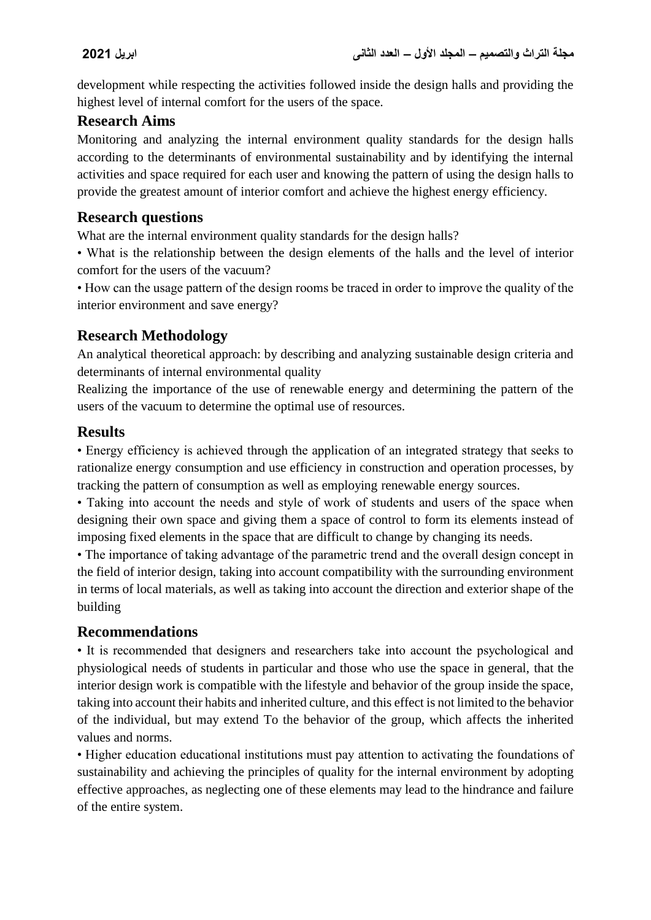development while respecting the activities followed inside the design halls and providing the highest level of internal comfort for the users of the space.

## **Research Aims**

Monitoring and analyzing the internal environment quality standards for the design halls according to the determinants of environmental sustainability and by identifying the internal activities and space required for each user and knowing the pattern of using the design halls to provide the greatest amount of interior comfort and achieve the highest energy efficiency.

### **Research questions**

What are the internal environment quality standards for the design halls?

• What is the relationship between the design elements of the halls and the level of interior comfort for the users of the vacuum?

• How can the usage pattern of the design rooms be traced in order to improve the quality of the interior environment and save energy?

# **Research Methodology**

An analytical theoretical approach: by describing and analyzing sustainable design criteria and determinants of internal environmental quality

Realizing the importance of the use of renewable energy and determining the pattern of the users of the vacuum to determine the optimal use of resources.

## **Results**

• Energy efficiency is achieved through the application of an integrated strategy that seeks to rationalize energy consumption and use efficiency in construction and operation processes, by tracking the pattern of consumption as well as employing renewable energy sources.

• Taking into account the needs and style of work of students and users of the space when designing their own space and giving them a space of control to form its elements instead of imposing fixed elements in the space that are difficult to change by changing its needs.

• The importance of taking advantage of the parametric trend and the overall design concept in the field of interior design, taking into account compatibility with the surrounding environment in terms of local materials, as well as taking into account the direction and exterior shape of the building

## **Recommendations**

• It is recommended that designers and researchers take into account the psychological and physiological needs of students in particular and those who use the space in general, that the interior design work is compatible with the lifestyle and behavior of the group inside the space, taking into account their habits and inherited culture, and this effect is not limited to the behavior of the individual, but may extend To the behavior of the group, which affects the inherited values and norms.

• Higher education educational institutions must pay attention to activating the foundations of sustainability and achieving the principles of quality for the internal environment by adopting effective approaches, as neglecting one of these elements may lead to the hindrance and failure of the entire system.